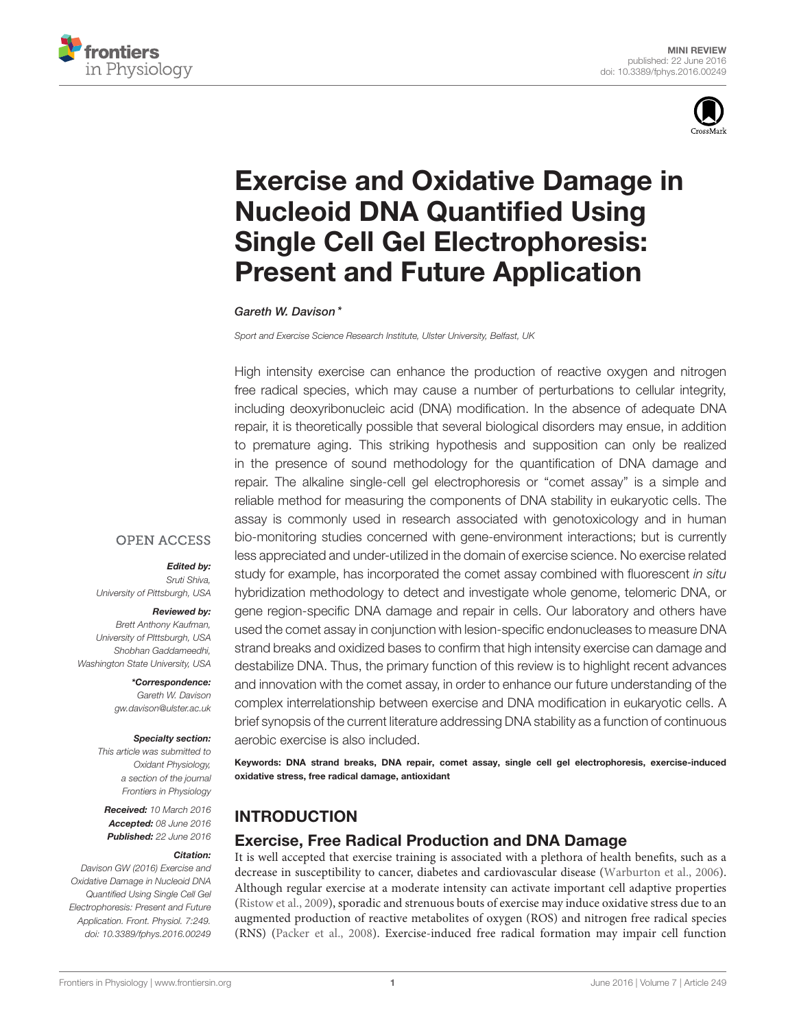



# [Exercise and Oxidative Damage in](http://journal.frontiersin.org/article/10.3389/fphys.2016.00249/abstract) Nucleoid DNA Quantified Using Single Cell Gel Electrophoresis: Present and Future Application

#### [Gareth W. Davison](http://loop.frontiersin.org/people/141226/overview)\*

*Sport and Exercise Science Research Institute, Ulster University, Belfast, UK*

High intensity exercise can enhance the production of reactive oxygen and nitrogen free radical species, which may cause a number of perturbations to cellular integrity, including deoxyribonucleic acid (DNA) modification. In the absence of adequate DNA repair, it is theoretically possible that several biological disorders may ensue, in addition to premature aging. This striking hypothesis and supposition can only be realized in the presence of sound methodology for the quantification of DNA damage and repair. The alkaline single-cell gel electrophoresis or "comet assay" is a simple and reliable method for measuring the components of DNA stability in eukaryotic cells. The assay is commonly used in research associated with genotoxicology and in human bio-monitoring studies concerned with gene-environment interactions; but is currently less appreciated and under-utilized in the domain of exercise science. No exercise related study for example, has incorporated the comet assay combined with fluorescent *in situ* hybridization methodology to detect and investigate whole genome, telomeric DNA, or gene region-specific DNA damage and repair in cells. Our laboratory and others have used the comet assay in conjunction with lesion-specific endonucleases to measure DNA strand breaks and oxidized bases to confirm that high intensity exercise can damage and destabilize DNA. Thus, the primary function of this review is to highlight recent advances and innovation with the comet assay, in order to enhance our future understanding of the complex interrelationship between exercise and DNA modification in eukaryotic cells. A brief synopsis of the current literature addressing DNA stability as a function of continuous aerobic exercise is also included.

Keywords: DNA strand breaks, DNA repair, comet assay, single cell gel electrophoresis, exercise-induced oxidative stress, free radical damage, antioxidant

#### INTRODUCTION

#### Exercise, Free Radical Production and DNA Damage

It is well accepted that exercise training is associated with a plethora of health benefits, such as a decrease in susceptibility to cancer, diabetes and cardiovascular disease [\(Warburton et al., 2006\)](#page-6-0). Although regular exercise at a moderate intensity can activate important cell adaptive properties [\(Ristow et al., 2009\)](#page-6-1), sporadic and strenuous bouts of exercise may induce oxidative stress due to an augmented production of reactive metabolites of oxygen (ROS) and nitrogen free radical species (RNS) [\(Packer et al., 2008\)](#page-6-2). Exercise-induced free radical formation may impair cell function

#### **OPEN ACCESS**

#### Edited by:

*Sruti Shiva, University of Pittsburgh, USA*

#### Reviewed by:

*Brett Anthony Kaufman, University of PIttsburgh, USA Shobhan Gaddameedhi, Washington State University, USA*

> \*Correspondence: *Gareth W. Davison [gw.davison@ulster.ac.uk](mailto:gw.davison@ulster.ac.uk)*

#### Specialty section:

*This article was submitted to Oxidant Physiology, a section of the journal Frontiers in Physiology*

Received: *10 March 2016* Accepted: *08 June 2016* Published: *22 June 2016*

#### Citation:

*Davison GW (2016) Exercise and Oxidative Damage in Nucleoid DNA Quantified Using Single Cell Gel Electrophoresis: Present and Future Application. Front. Physiol. 7:249. doi: [10.3389/fphys.2016.00249](http://dx.doi.org/10.3389/fphys.2016.00249)*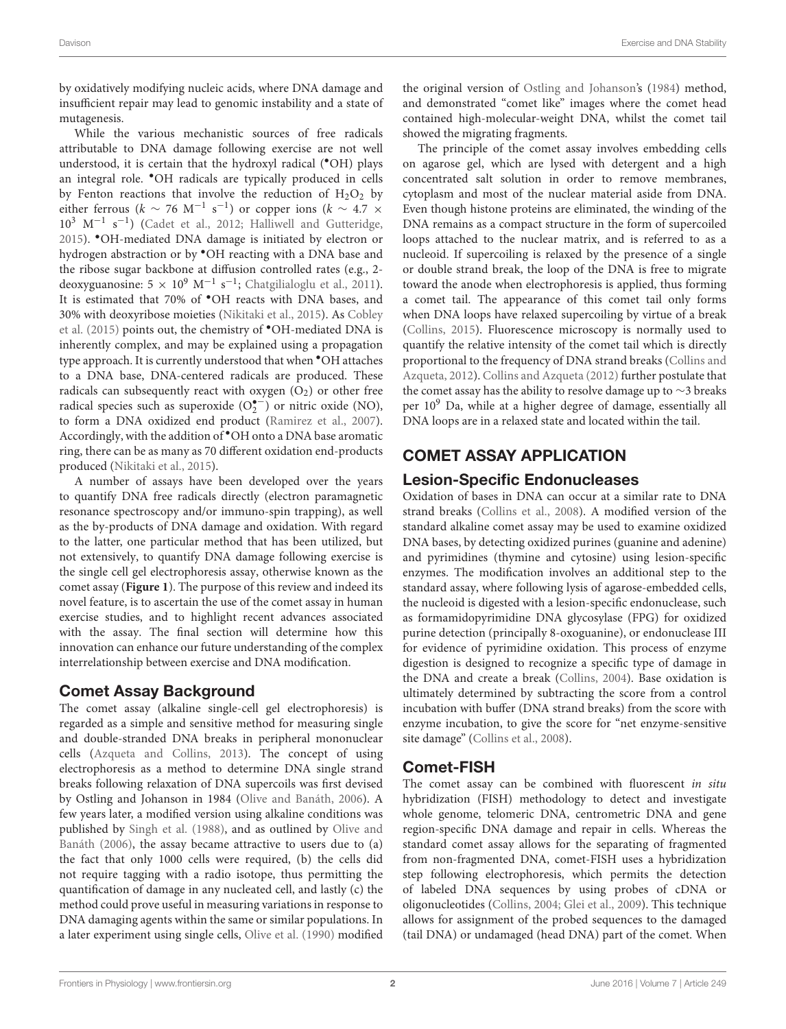by oxidatively modifying nucleic acids, where DNA damage and insufficient repair may lead to genomic instability and a state of mutagenesis.

While the various mechanistic sources of free radicals attributable to DNA damage following exercise are not well understood, it is certain that the hydroxyl radical (•OH) plays an integral role. •OH radicals are typically produced in cells by Fenton reactions that involve the reduction of  $H_2O_2$  by either ferrous ( $k \sim 76$  M<sup>-1</sup> s<sup>-1</sup>) or copper ions ( $k \sim 4.7$  × 10<sup>3</sup> M−<sup>1</sup> s −1 ) [\(Cadet et al., 2012;](#page-5-0) [Halliwell and Gutteridge,](#page-6-3) [2015\)](#page-6-3). •OH-mediated DNA damage is initiated by electron or hydrogen abstraction or by •OH reacting with a DNA base and the ribose sugar backbone at diffusion controlled rates (e.g., 2 deoxyguanosine:  $5 \times 10^9 \text{ M}^{-1} \text{ s}^{-1}$ ; [Chatgilialoglu et al., 2011\)](#page-5-1). It is estimated that 70% of •OH reacts with DNA bases, and 30% with deoxyribose moieties [\(Nikitaki et al., 2015\)](#page-6-4). As Cobley et al. [\(2015\)](#page-5-2) points out, the chemistry of •OH-mediated DNA is inherently complex, and may be explained using a propagation type approach. It is currently understood that when •OH attaches to a DNA base, DNA-centered radicals are produced. These radicals can subsequently react with oxygen  $(O_2)$  or other free radical species such as superoxide  $(O_2^{\bullet -})$  or nitric oxide (NO), to form a DNA oxidized end product [\(Ramirez et al., 2007\)](#page-6-5). Accordingly, with the addition of •OH onto a DNA base aromatic ring, there can be as many as 70 different oxidation end-products produced [\(Nikitaki et al., 2015\)](#page-6-4).

A number of assays have been developed over the years to quantify DNA free radicals directly (electron paramagnetic resonance spectroscopy and/or immuno-spin trapping), as well as the by-products of DNA damage and oxidation. With regard to the latter, one particular method that has been utilized, but not extensively, to quantify DNA damage following exercise is the single cell gel electrophoresis assay, otherwise known as the comet assay (**[Figure 1](#page-2-0)**). The purpose of this review and indeed its novel feature, is to ascertain the use of the comet assay in human exercise studies, and to highlight recent advances associated with the assay. The final section will determine how this innovation can enhance our future understanding of the complex interrelationship between exercise and DNA modification.

## Comet Assay Background

The comet assay (alkaline single-cell gel electrophoresis) is regarded as a simple and sensitive method for measuring single and double-stranded DNA breaks in peripheral mononuclear cells [\(Azqueta and Collins, 2013\)](#page-5-3). The concept of using electrophoresis as a method to determine DNA single strand breaks following relaxation of DNA supercoils was first devised by Ostling and Johanson in 1984 [\(Olive and Banáth, 2006\)](#page-6-6). A few years later, a modified version using alkaline conditions was published by [Singh et al. \(1988\)](#page-6-7), and as outlined by Olive and Banáth [\(2006\)](#page-6-6), the assay became attractive to users due to (a) the fact that only 1000 cells were required, (b) the cells did not require tagging with a radio isotope, thus permitting the quantification of damage in any nucleated cell, and lastly (c) the method could prove useful in measuring variations in response to DNA damaging agents within the same or similar populations. In a later experiment using single cells, [Olive et al. \(1990\)](#page-6-8) modified the original version of [Ostling and Johanson'](#page-6-9)s [\(1984\)](#page-6-9) method, and demonstrated "comet like" images where the comet head contained high-molecular-weight DNA, whilst the comet tail showed the migrating fragments.

The principle of the comet assay involves embedding cells on agarose gel, which are lysed with detergent and a high concentrated salt solution in order to remove membranes, cytoplasm and most of the nuclear material aside from DNA. Even though histone proteins are eliminated, the winding of the DNA remains as a compact structure in the form of supercoiled loops attached to the nuclear matrix, and is referred to as a nucleoid. If supercoiling is relaxed by the presence of a single or double strand break, the loop of the DNA is free to migrate toward the anode when electrophoresis is applied, thus forming a comet tail. The appearance of this comet tail only forms when DNA loops have relaxed supercoiling by virtue of a break [\(Collins, 2015\)](#page-5-4). Fluorescence microscopy is normally used to quantify the relative intensity of the comet tail which is directly proportional to the frequency of DNA strand breaks (Collins and Azqueta, [2012\)](#page-5-5). [Collins and Azqueta \(2012\)](#page-5-5) further postulate that the comet assay has the ability to resolve damage up to ∼3 breaks per  $10<sup>9</sup>$  Da, while at a higher degree of damage, essentially all DNA loops are in a relaxed state and located within the tail.

# COMET ASSAY APPLICATION

## Lesion-Specific Endonucleases

Oxidation of bases in DNA can occur at a similar rate to DNA strand breaks [\(Collins et al., 2008\)](#page-5-6). A modified version of the standard alkaline comet assay may be used to examine oxidized DNA bases, by detecting oxidized purines (guanine and adenine) and pyrimidines (thymine and cytosine) using lesion-specific enzymes. The modification involves an additional step to the standard assay, where following lysis of agarose-embedded cells, the nucleoid is digested with a lesion-specific endonuclease, such as formamidopyrimidine DNA glycosylase (FPG) for oxidized purine detection (principally 8-oxoguanine), or endonuclease III for evidence of pyrimidine oxidation. This process of enzyme digestion is designed to recognize a specific type of damage in the DNA and create a break [\(Collins, 2004\)](#page-5-7). Base oxidation is ultimately determined by subtracting the score from a control incubation with buffer (DNA strand breaks) from the score with enzyme incubation, to give the score for "net enzyme-sensitive site damage" [\(Collins et al., 2008\)](#page-5-6).

## Comet-FISH

The comet assay can be combined with fluorescent in situ hybridization (FISH) methodology to detect and investigate whole genome, telomeric DNA, centrometric DNA and gene region-specific DNA damage and repair in cells. Whereas the standard comet assay allows for the separating of fragmented from non-fragmented DNA, comet-FISH uses a hybridization step following electrophoresis, which permits the detection of labeled DNA sequences by using probes of cDNA or oligonucleotides [\(Collins, 2004;](#page-5-7) [Glei et al., 2009\)](#page-6-10). This technique allows for assignment of the probed sequences to the damaged (tail DNA) or undamaged (head DNA) part of the comet. When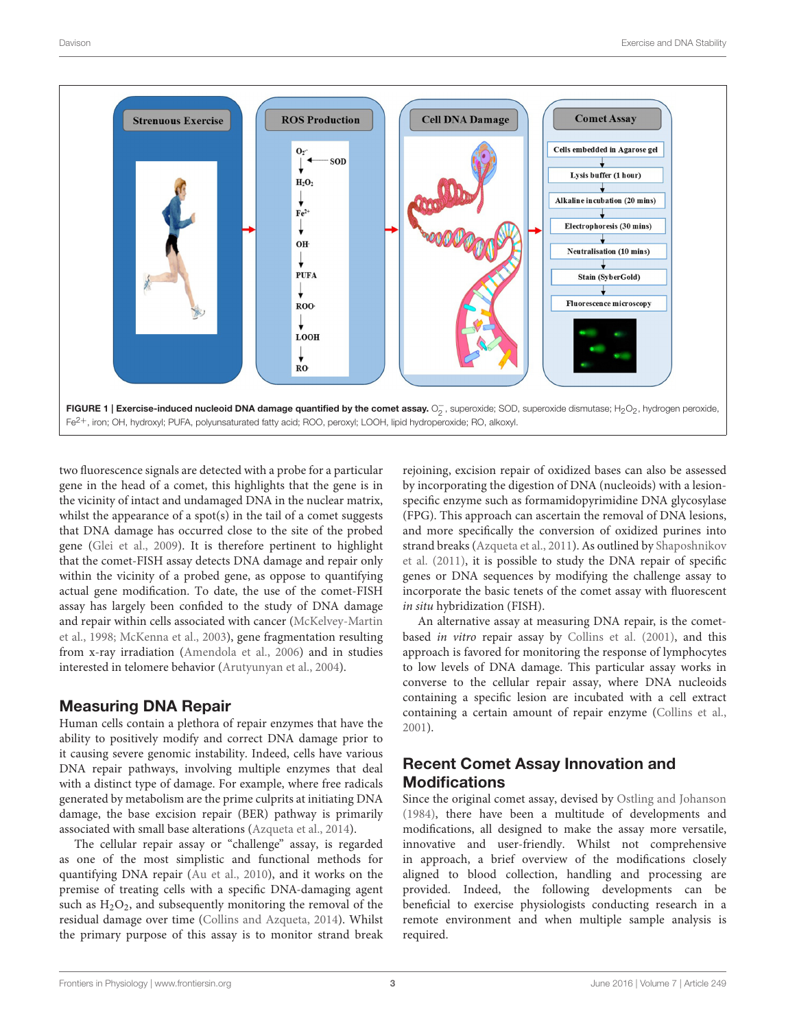

<span id="page-2-0"></span>two fluorescence signals are detected with a probe for a particular gene in the head of a comet, this highlights that the gene is in the vicinity of intact and undamaged DNA in the nuclear matrix, whilst the appearance of a spot(s) in the tail of a comet suggests that DNA damage has occurred close to the site of the probed gene [\(Glei et al., 2009\)](#page-6-10). It is therefore pertinent to highlight that the comet-FISH assay detects DNA damage and repair only within the vicinity of a probed gene, as oppose to quantifying actual gene modification. To date, the use of the comet-FISH assay has largely been confided to the study of DNA damage and repair within cells associated with cancer (McKelvey-Martin et al., [1998;](#page-6-11) [McKenna et al., 2003\)](#page-6-12), gene fragmentation resulting from x-ray irradiation [\(Amendola et al., 2006\)](#page-5-8) and in studies interested in telomere behavior [\(Arutyunyan et al., 2004\)](#page-5-9).

#### Measuring DNA Repair

Human cells contain a plethora of repair enzymes that have the ability to positively modify and correct DNA damage prior to it causing severe genomic instability. Indeed, cells have various DNA repair pathways, involving multiple enzymes that deal with a distinct type of damage. For example, where free radicals generated by metabolism are the prime culprits at initiating DNA damage, the base excision repair (BER) pathway is primarily associated with small base alterations [\(Azqueta et al., 2014\)](#page-5-10).

The cellular repair assay or "challenge" assay, is regarded as one of the most simplistic and functional methods for quantifying DNA repair [\(Au et al., 2010\)](#page-5-11), and it works on the premise of treating cells with a specific DNA-damaging agent such as  $H_2O_2$ , and subsequently monitoring the removal of the residual damage over time [\(Collins and Azqueta, 2014\)](#page-5-12). Whilst the primary purpose of this assay is to monitor strand break rejoining, excision repair of oxidized bases can also be assessed by incorporating the digestion of DNA (nucleoids) with a lesionspecific enzyme such as formamidopyrimidine DNA glycosylase (FPG). This approach can ascertain the removal of DNA lesions, and more specifically the conversion of oxidized purines into strand breaks [\(Azqueta et al., 2011\)](#page-5-13). As outlined by Shaposhnikov et al. [\(2011\)](#page-6-13), it is possible to study the DNA repair of specific genes or DNA sequences by modifying the challenge assay to incorporate the basic tenets of the comet assay with fluorescent in situ hybridization (FISH).

An alternative assay at measuring DNA repair, is the cometbased in vitro repair assay by [Collins et al. \(2001\)](#page-5-14), and this approach is favored for monitoring the response of lymphocytes to low levels of DNA damage. This particular assay works in converse to the cellular repair assay, where DNA nucleoids containing a specific lesion are incubated with a cell extract containing a certain amount of repair enzyme [\(Collins et al.,](#page-5-14) [2001\)](#page-5-14).

## Recent Comet Assay Innovation and **Modifications**

Since the original comet assay, devised by [Ostling and Johanson](#page-6-9) [\(1984\)](#page-6-9), there have been a multitude of developments and modifications, all designed to make the assay more versatile, innovative and user-friendly. Whilst not comprehensive in approach, a brief overview of the modifications closely aligned to blood collection, handling and processing are provided. Indeed, the following developments can be beneficial to exercise physiologists conducting research in a remote environment and when multiple sample analysis is required.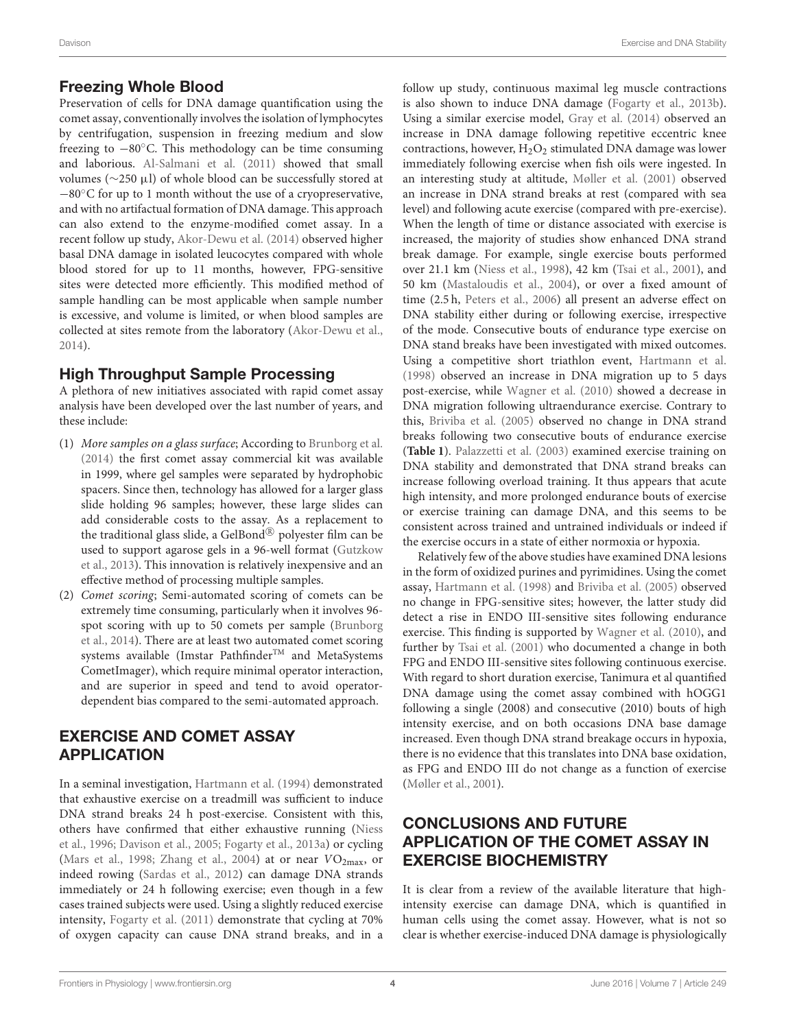#### Freezing Whole Blood

Preservation of cells for DNA damage quantification using the comet assay, conventionally involves the isolation of lymphocytes by centrifugation, suspension in freezing medium and slow freezing to  $-80^\circ$ C. This methodology can be time consuming and laborious. [Al-Salmani et al. \(2011\)](#page-5-15) showed that small volumes (∼250 µl) of whole blood can be successfully stored at −80◦C for up to 1 month without the use of a cryopreservative, and with no artifactual formation of DNA damage. This approach can also extend to the enzyme-modified comet assay. In a recent follow up study, [Akor-Dewu et al. \(2014\)](#page-5-16) observed higher basal DNA damage in isolated leucocytes compared with whole blood stored for up to 11 months, however, FPG-sensitive sites were detected more efficiently. This modified method of sample handling can be most applicable when sample number is excessive, and volume is limited, or when blood samples are collected at sites remote from the laboratory [\(Akor-Dewu et al.,](#page-5-16) [2014\)](#page-5-16).

# High Throughput Sample Processing

A plethora of new initiatives associated with rapid comet assay analysis have been developed over the last number of years, and these include:

- (1) More samples on a glass surface; According to [Brunborg et al.](#page-5-17) [\(2014\)](#page-5-17) the first comet assay commercial kit was available in 1999, where gel samples were separated by hydrophobic spacers. Since then, technology has allowed for a larger glass slide holding 96 samples; however, these large slides can add considerable costs to the assay. As a replacement to the traditional glass slide, a GelBond® polyester film can be used to support agarose gels in a 96-well format (Gutzkow et al., [2013\)](#page-6-14). This innovation is relatively inexpensive and an effective method of processing multiple samples.
- (2) Comet scoring; Semi-automated scoring of comets can be extremely time consuming, particularly when it involves 96 spot scoring with up to 50 comets per sample (Brunborg et al., [2014\)](#page-5-17). There are at least two automated comet scoring systems available (Imstar Pathfinder<sup>TM</sup> and MetaSystems CometImager), which require minimal operator interaction, and are superior in speed and tend to avoid operatordependent bias compared to the semi-automated approach.

## EXERCISE AND COMET ASSAY APPLICATION

In a seminal investigation, [Hartmann et al. \(1994\)](#page-6-15) demonstrated that exhaustive exercise on a treadmill was sufficient to induce DNA strand breaks 24 h post-exercise. Consistent with this, others have confirmed that either exhaustive running (Niess et al., [1996;](#page-6-16) [Davison et al., 2005;](#page-5-18) [Fogarty et al., 2013a\)](#page-6-17) or cycling [\(Mars et al., 1998;](#page-6-18) [Zhang et al., 2004\)](#page-6-19) at or near  $VO_{2max}$ , or indeed rowing [\(Sardas et al., 2012\)](#page-6-20) can damage DNA strands immediately or 24 h following exercise; even though in a few cases trained subjects were used. Using a slightly reduced exercise intensity, [Fogarty et al. \(2011\)](#page-6-21) demonstrate that cycling at 70% of oxygen capacity can cause DNA strand breaks, and in a

follow up study, continuous maximal leg muscle contractions is also shown to induce DNA damage [\(Fogarty et al., 2013b\)](#page-5-19). Using a similar exercise model, [Gray et al. \(2014\)](#page-6-22) observed an increase in DNA damage following repetitive eccentric knee contractions, however,  $H_2O_2$  stimulated DNA damage was lower immediately following exercise when fish oils were ingested. In an interesting study at altitude, [Møller et al. \(2001\)](#page-6-23) observed an increase in DNA strand breaks at rest (compared with sea level) and following acute exercise (compared with pre-exercise). When the length of time or distance associated with exercise is increased, the majority of studies show enhanced DNA strand break damage. For example, single exercise bouts performed over 21.1 km [\(Niess et al., 1998\)](#page-6-24), 42 km [\(Tsai et al., 2001\)](#page-6-25), and 50 km [\(Mastaloudis et al., 2004\)](#page-6-26), or over a fixed amount of time (2.5 h, [Peters et al., 2006\)](#page-6-27) all present an adverse effect on DNA stability either during or following exercise, irrespective of the mode. Consecutive bouts of endurance type exercise on DNA stand breaks have been investigated with mixed outcomes. Using a competitive short triathlon event, [Hartmann et al.](#page-6-28) [\(1998\)](#page-6-28) observed an increase in DNA migration up to 5 days post-exercise, while [Wagner et al. \(2010\)](#page-6-29) showed a decrease in DNA migration following ultraendurance exercise. Contrary to this, [Briviba et al. \(2005\)](#page-5-20) observed no change in DNA strand breaks following two consecutive bouts of endurance exercise (**[Table 1](#page-4-0)**). [Palazzetti et al. \(2003\)](#page-6-30) examined exercise training on DNA stability and demonstrated that DNA strand breaks can increase following overload training. It thus appears that acute high intensity, and more prolonged endurance bouts of exercise or exercise training can damage DNA, and this seems to be consistent across trained and untrained individuals or indeed if the exercise occurs in a state of either normoxia or hypoxia.

Relatively few of the above studies have examined DNA lesions in the form of oxidized purines and pyrimidines. Using the comet assay, [Hartmann et al. \(1998\)](#page-6-28) and [Briviba et al. \(2005\)](#page-5-20) observed no change in FPG-sensitive sites; however, the latter study did detect a rise in ENDO III-sensitive sites following endurance exercise. This finding is supported by [Wagner et al. \(2010\)](#page-6-29), and further by [Tsai et al. \(2001\)](#page-6-25) who documented a change in both FPG and ENDO III-sensitive sites following continuous exercise. With regard to short duration exercise, Tanimura et al quantified DNA damage using the comet assay combined with hOGG1 following a single (2008) and consecutive (2010) bouts of high intensity exercise, and on both occasions DNA base damage increased. Even though DNA strand breakage occurs in hypoxia, there is no evidence that this translates into DNA base oxidation, as FPG and ENDO III do not change as a function of exercise [\(Møller et al., 2001\)](#page-6-23).

## CONCLUSIONS AND FUTURE APPLICATION OF THE COMET ASSAY IN EXERCISE BIOCHEMISTRY

It is clear from a review of the available literature that highintensity exercise can damage DNA, which is quantified in human cells using the comet assay. However, what is not so clear is whether exercise-induced DNA damage is physiologically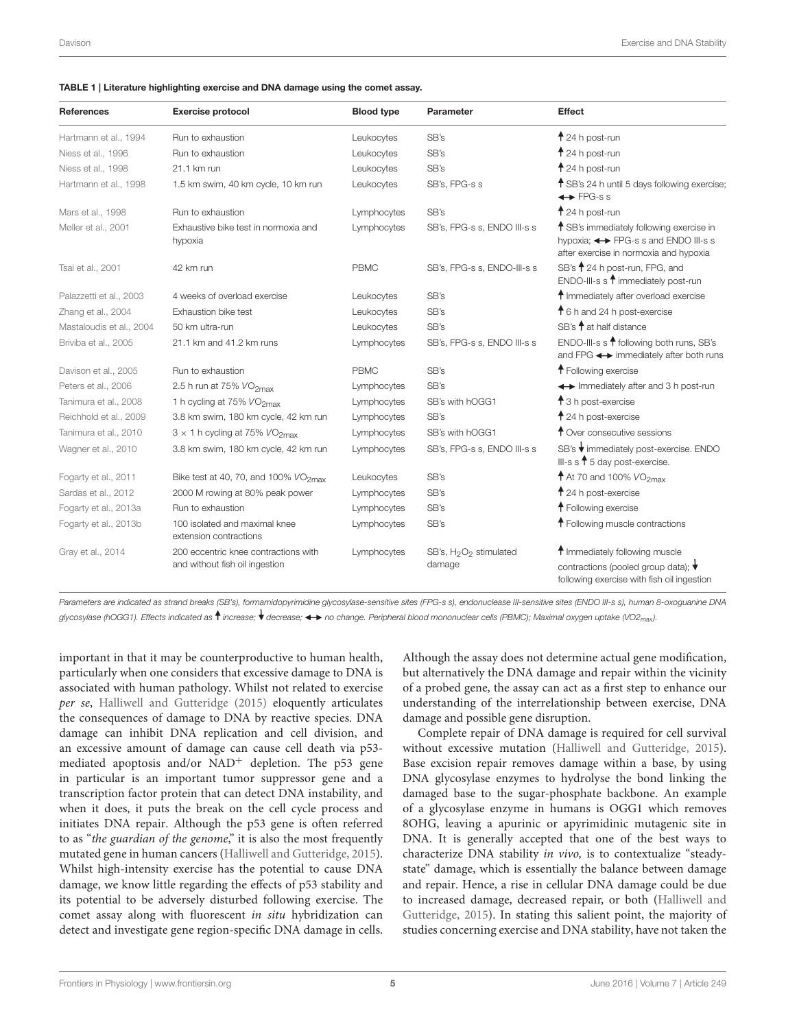<span id="page-4-0"></span>

| <b>References</b>        | <b>Exercise protocol</b>                                               | <b>Blood type</b> | <b>Parameter</b>                                         | <b>Effect</b>                                                                                                                          |
|--------------------------|------------------------------------------------------------------------|-------------------|----------------------------------------------------------|----------------------------------------------------------------------------------------------------------------------------------------|
| Hartmann et al., 1994    | Run to exhaustion                                                      | Leukocytes        | SB's                                                     | $\dagger$ 24 h post-run                                                                                                                |
| Niess et al., 1996       | Run to exhaustion                                                      | Leukocytes        | SB's                                                     | $\dagger$ 24 h post-run                                                                                                                |
| Niess et al., 1998       | 21.1 km run                                                            | Leukocytes        | SB's                                                     | $\dagger$ 24 h post-run                                                                                                                |
| Hartmann et al., 1998    | 1.5 km swim, 40 km cycle, 10 km run                                    | Leukocytes        | SB's, FPG-s s                                            | <sup>1</sup> SB's 24 h until 5 days following exercise;<br>$\leftrightarrow$ FPG-s s                                                   |
| Mars et al., 1998        | Run to exhaustion                                                      | Lymphocytes       | SB's                                                     | $\dagger$ 24 h post-run                                                                                                                |
| Møller et al., 2001      | Exhaustive bike test in normoxia and<br>hypoxia                        | Lymphocytes       | SB's, FPG-s s, ENDO III-s s                              | <sup>1</sup> SB's immediately following exercise in<br>hypoxia; < > FPG-s s and ENDO III-s s<br>after exercise in normoxia and hypoxia |
| Tsai et al., 2001        | 42 km run                                                              | <b>PBMC</b>       | SB's, FPG-s s, ENDO-III-s s                              | SB's 1 24 h post-run, FPG, and<br>ENDO-III-s s $\uparrow$ immediately post-run                                                         |
| Palazzetti et al., 2003  | 4 weeks of overload exercise                                           | Leukocytes        | SB's                                                     | <sup>1</sup> Immediately after overload exercise                                                                                       |
| Zhang et al., 2004       | Exhaustion bike test                                                   | Leukocytes        | SB's                                                     | ↑ 6 h and 24 h post-exercise                                                                                                           |
| Mastaloudis et al., 2004 | 50 km ultra-run                                                        | Leukocytes        | SB's                                                     | SB's <sup>1</sup> at half distance                                                                                                     |
| Briviba et al., 2005     | 21.1 km and 41.2 km runs                                               | Lymphocytes       | SB's, FPG-s s, ENDO III-s s                              | ENDO-III-s s <sup>4</sup> following both runs, SB's<br>and FPG < > immediately after both runs                                         |
| Davison et al., 2005     | Run to exhaustion                                                      | <b>PBMC</b>       | SB's                                                     | <sup>1</sup> Following exercise                                                                                                        |
| Peters et al., 2006      | 2.5 h run at 75% $VO2max$                                              | Lymphocytes       | SB's                                                     | ← Immediately after and 3 h post-run                                                                                                   |
| Tanimura et al., 2008    | 1 h cycling at 75% VO <sub>2max</sub>                                  | Lymphocytes       | SB's with hOGG1                                          | <sup>1</sup> 3 h post-exercise                                                                                                         |
| Reichhold et al., 2009   | 3.8 km swim, 180 km cycle, 42 km run                                   | Lymphocytes       | SB's                                                     | $\uparrow$ 24 h post-exercise                                                                                                          |
| Tanimura et al., 2010    | $3 \times 1$ h cycling at 75% $VO2max$                                 | Lymphocytes       | SB's with hOGG1                                          | <sup>1</sup> Over consecutive sessions                                                                                                 |
| Wagner et al., 2010      | 3.8 km swim, 180 km cycle, 42 km run                                   | Lymphocytes       | SB's, FPG-s s, ENDO III-s s                              | SB's Vimmediately post-exercise. ENDO<br>III-s s $\uparrow$ 5 day post-exercise.                                                       |
| Fogarty et al., 2011     | Bike test at 40, 70, and 100% $VO2max$                                 | Leukocytes        | SB's                                                     | $\dagger$ At 70 and 100% $VO_{2\text{max}}$                                                                                            |
| Sardas et al., 2012      | 2000 M rowing at 80% peak power                                        | Lymphocytes       | SB's                                                     | $\uparrow$ 24 h post-exercise                                                                                                          |
| Fogarty et al., 2013a    | Run to exhaustion                                                      | Lymphocytes       | SB's                                                     | <sup>1</sup> Following exercise                                                                                                        |
| Fogarty et al., 2013b    | 100 isolated and maximal knee<br>extension contractions                | Lymphocytes       | SB's                                                     | <sup>1</sup> Following muscle contractions                                                                                             |
| Gray et al., 2014        | 200 eccentric knee contractions with<br>and without fish oil ingestion | Lymphocytes       | SB's, H <sub>2</sub> O <sub>2</sub> stimulated<br>damage | <sup>1</sup> Immediately following muscle<br>contractions (pooled group data); ↓<br>following exercise with fish oil ingestion         |

*Parameters are indicated as strand breaks (SB's), formamidopyrimidine glycosylase-sensitive sites (FPG-s s), endonuclease III-sensitive sites (ENDO III-s s), human 8-oxoguanine DNA glycosylase (hOGG1). Effects indicated as increase; decrease; no change. Peripheral blood mononuclear cells (PBMC); Maximal oxygen uptake (VO2max ).*

important in that it may be counterproductive to human health, particularly when one considers that excessive damage to DNA is associated with human pathology. Whilst not related to exercise per se, [Halliwell and Gutteridge \(2015\)](#page-6-3) eloquently articulates the consequences of damage to DNA by reactive species. DNA damage can inhibit DNA replication and cell division, and an excessive amount of damage can cause cell death via p53 mediated apoptosis and/or  $NAD<sup>+</sup>$  depletion. The p53 gene in particular is an important tumor suppressor gene and a transcription factor protein that can detect DNA instability, and when it does, it puts the break on the cell cycle process and initiates DNA repair. Although the p53 gene is often referred to as "the guardian of the genome," it is also the most frequently mutated gene in human cancers [\(Halliwell and Gutteridge, 2015\)](#page-6-3). Whilst high-intensity exercise has the potential to cause DNA damage, we know little regarding the effects of p53 stability and its potential to be adversely disturbed following exercise. The comet assay along with fluorescent in situ hybridization can detect and investigate gene region-specific DNA damage in cells. Although the assay does not determine actual gene modification, but alternatively the DNA damage and repair within the vicinity of a probed gene, the assay can act as a first step to enhance our understanding of the interrelationship between exercise, DNA damage and possible gene disruption.

Complete repair of DNA damage is required for cell survival without excessive mutation [\(Halliwell and Gutteridge, 2015\)](#page-6-3). Base excision repair removes damage within a base, by using DNA glycosylase enzymes to hydrolyse the bond linking the damaged base to the sugar-phosphate backbone. An example of a glycosylase enzyme in humans is OGG1 which removes 8OHG, leaving a apurinic or apyrimidinic mutagenic site in DNA. It is generally accepted that one of the best ways to characterize DNA stability in vivo, is to contextualize "steadystate" damage, which is essentially the balance between damage and repair. Hence, a rise in cellular DNA damage could be due to increased damage, decreased repair, or both (Halliwell and Gutteridge, [2015\)](#page-6-3). In stating this salient point, the majority of studies concerning exercise and DNA stability, have not taken the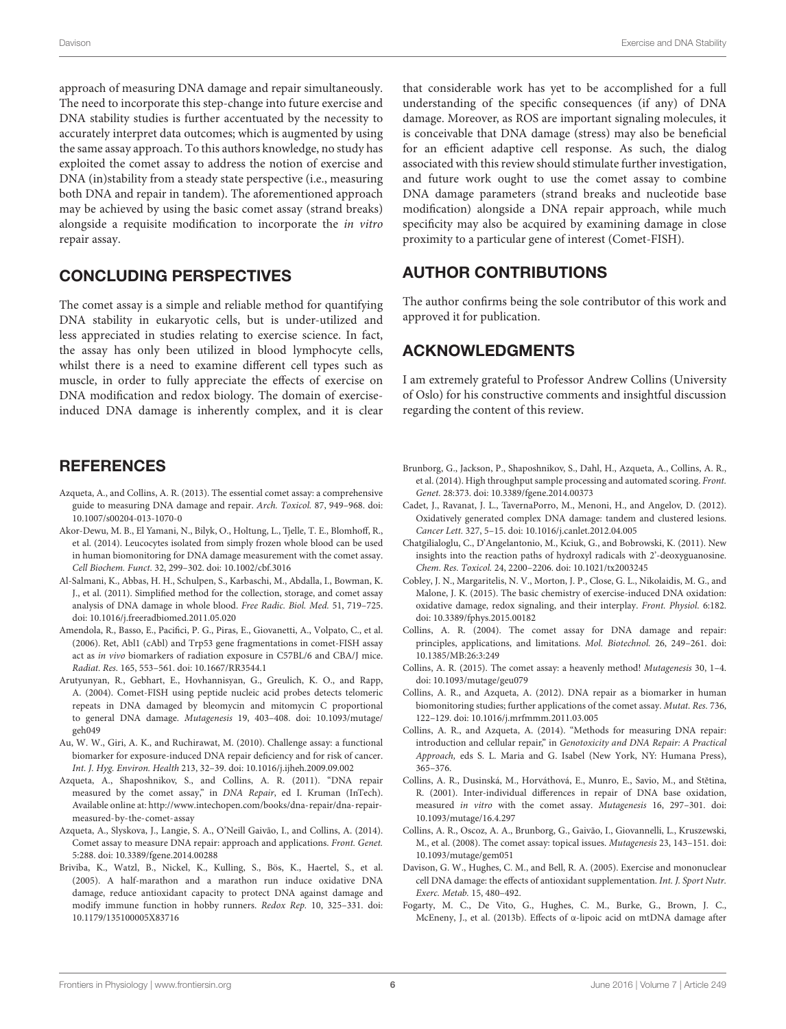approach of measuring DNA damage and repair simultaneously. The need to incorporate this step-change into future exercise and DNA stability studies is further accentuated by the necessity to accurately interpret data outcomes; which is augmented by using the same assay approach. To this authors knowledge, no study has exploited the comet assay to address the notion of exercise and DNA (in)stability from a steady state perspective (i.e., measuring both DNA and repair in tandem). The aforementioned approach may be achieved by using the basic comet assay (strand breaks) alongside a requisite modification to incorporate the in vitro repair assay.

#### CONCLUDING PERSPECTIVES

The comet assay is a simple and reliable method for quantifying DNA stability in eukaryotic cells, but is under-utilized and less appreciated in studies relating to exercise science. In fact, the assay has only been utilized in blood lymphocyte cells, whilst there is a need to examine different cell types such as muscle, in order to fully appreciate the effects of exercise on DNA modification and redox biology. The domain of exerciseinduced DNA damage is inherently complex, and it is clear

## **REFERENCES**

- <span id="page-5-3"></span>Azqueta, A., and Collins, A. R. (2013). The essential comet assay: a comprehensive guide to measuring DNA damage and repair. Arch. Toxicol. 87, 949–968. doi: 10.1007/s00204-013-1070-0
- <span id="page-5-16"></span>Akor-Dewu, M. B., El Yamani, N., Bilyk, O., Holtung, L., Tjelle, T. E., Blomhoff, R., et al. (2014). Leucocytes isolated from simply frozen whole blood can be used in human biomonitoring for DNA damage measurement with the comet assay. Cell Biochem. Funct. 32, 299–302. doi: 10.1002/cbf.3016
- <span id="page-5-15"></span>Al-Salmani, K., Abbas, H. H., Schulpen, S., Karbaschi, M., Abdalla, I., Bowman, K. J., et al. (2011). Simplified method for the collection, storage, and comet assay analysis of DNA damage in whole blood. Free Radic. Biol. Med. 51, 719–725. doi: 10.1016/j.freeradbiomed.2011.05.020
- <span id="page-5-8"></span>Amendola, R., Basso, E., Pacifici, P. G., Piras, E., Giovanetti, A., Volpato, C., et al. (2006). Ret, Abl1 (cAbl) and Trp53 gene fragmentations in comet-FISH assay act as in vivo biomarkers of radiation exposure in C57BL/6 and CBA/J mice. Radiat. Res. 165, 553–561. doi: 10.1667/RR3544.1
- <span id="page-5-9"></span>Arutyunyan, R., Gebhart, E., Hovhannisyan, G., Greulich, K. O., and Rapp, A. (2004). Comet-FISH using peptide nucleic acid probes detects telomeric repeats in DNA damaged by bleomycin and mitomycin C proportional to general DNA damage. Mutagenesis 19, 403–408. doi: 10.1093/mutage/ geh049
- <span id="page-5-11"></span>Au, W. W., Giri, A. K., and Ruchirawat, M. (2010). Challenge assay: a functional biomarker for exposure-induced DNA repair deficiency and for risk of cancer. Int. J. Hyg. Environ. Health 213, 32–39. doi: 10.1016/j.ijheh.2009.09.002
- <span id="page-5-13"></span>Azqueta, A., Shaposhnikov, S., and Collins, A. R. (2011). "DNA repair measured by the comet assay," in DNA Repair, ed I. Kruman (InTech). Available online at[: http://www.intechopen.com/books/dna-repair/dna-repair](http://www.intechopen.com/books/dna-repair/dna-repair-measured-by-the-comet-assay)[measured-by-the-comet-assay](http://www.intechopen.com/books/dna-repair/dna-repair-measured-by-the-comet-assay)
- <span id="page-5-10"></span>Azqueta, A., Slyskova, J., Langie, S. A., O'Neill Gaivão, I., and Collins, A. (2014). Comet assay to measure DNA repair: approach and applications. Front. Genet. 5:288. doi: 10.3389/fgene.2014.00288
- <span id="page-5-20"></span>Briviba, K., Watzl, B., Nickel, K., Kulling, S., Bös, K., Haertel, S., et al. (2005). A half-marathon and a marathon run induce oxidative DNA damage, reduce antioxidant capacity to protect DNA against damage and modify immune function in hobby runners. Redox Rep. 10, 325–331. doi: 10.1179/135100005X83716

that considerable work has yet to be accomplished for a full understanding of the specific consequences (if any) of DNA damage. Moreover, as ROS are important signaling molecules, it is conceivable that DNA damage (stress) may also be beneficial for an efficient adaptive cell response. As such, the dialog associated with this review should stimulate further investigation, and future work ought to use the comet assay to combine DNA damage parameters (strand breaks and nucleotide base modification) alongside a DNA repair approach, while much specificity may also be acquired by examining damage in close proximity to a particular gene of interest (Comet-FISH).

## AUTHOR CONTRIBUTIONS

The author confirms being the sole contributor of this work and approved it for publication.

## ACKNOWLEDGMENTS

I am extremely grateful to Professor Andrew Collins (University of Oslo) for his constructive comments and insightful discussion regarding the content of this review.

- <span id="page-5-17"></span>Brunborg, G., Jackson, P., Shaposhnikov, S., Dahl, H., Azqueta, A., Collins, A. R., et al. (2014). High throughput sample processing and automated scoring. Front. Genet. 28:373. doi: 10.3389/fgene.2014.00373
- <span id="page-5-0"></span>Cadet, J., Ravanat, J. L., TavernaPorro, M., Menoni, H., and Angelov, D. (2012). Oxidatively generated complex DNA damage: tandem and clustered lesions. Cancer Lett. 327, 5–15. doi: 10.1016/j.canlet.2012.04.005
- <span id="page-5-1"></span>Chatgilialoglu, C., D'Angelantonio, M., Kciuk, G., and Bobrowski, K. (2011). New insights into the reaction paths of hydroxyl radicals with 2'-deoxyguanosine. Chem. Res. Toxicol. 24, 2200–2206. doi: 10.1021/tx2003245
- <span id="page-5-2"></span>Cobley, J. N., Margaritelis, N. V., Morton, J. P., Close, G. L., Nikolaidis, M. G., and Malone, J. K. (2015). The basic chemistry of exercise-induced DNA oxidation: oxidative damage, redox signaling, and their interplay. Front. Physiol. 6:182. doi: 10.3389/fphys.2015.00182
- <span id="page-5-7"></span>Collins, A. R. (2004). The comet assay for DNA damage and repair: principles, applications, and limitations. Mol. Biotechnol. 26, 249–261. doi: 10.1385/MB:26:3:249
- <span id="page-5-4"></span>Collins, A. R. (2015). The comet assay: a heavenly method! Mutagenesis 30, 1–4. doi: 10.1093/mutage/geu079
- <span id="page-5-5"></span>Collins, A. R., and Azqueta, A. (2012). DNA repair as a biomarker in human biomonitoring studies; further applications of the comet assay. Mutat. Res. 736, 122–129. doi: 10.1016/j.mrfmmm.2011.03.005
- <span id="page-5-12"></span>Collins, A. R., and Azqueta, A. (2014). "Methods for measuring DNA repair: introduction and cellular repair," in Genotoxicity and DNA Repair: A Practical Approach, eds S. L. Maria and G. Isabel (New York, NY: Humana Press), 365–376.
- <span id="page-5-14"></span>Collins, A. R., Dusinská, M., Horváthová, E., Munro, E., Savio, M., and Stětina, R. (2001). Inter-individual differences in repair of DNA base oxidation, measured in vitro with the comet assay. Mutagenesis 16, 297–301. doi: 10.1093/mutage/16.4.297
- <span id="page-5-6"></span>Collins, A. R., Oscoz, A. A., Brunborg, G., Gaivão, I., Giovannelli, L., Kruszewski, M., et al. (2008). The comet assay: topical issues. Mutagenesis 23, 143–151. doi: 10.1093/mutage/gem051
- <span id="page-5-18"></span>Davison, G. W., Hughes, C. M., and Bell, R. A. (2005). Exercise and mononuclear cell DNA damage: the effects of antioxidant supplementation. Int. J. Sport Nutr. Exerc. Metab. 15, 480–492.
- <span id="page-5-19"></span>Fogarty, M. C., De Vito, G., Hughes, C. M., Burke, G., Brown, J. C., McEneny, J., et al. (2013b). Effects of α-lipoic acid on mtDNA damage after